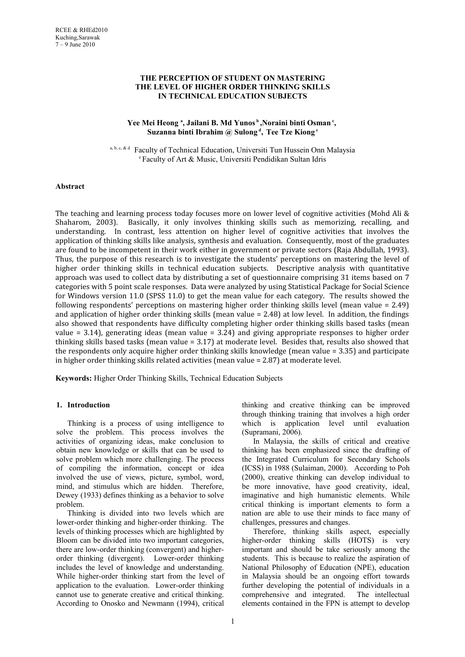## **THE PERCEPTION OF STUDENT ON MASTERING THE LEVEL OF HIGHER ORDER THINKING SKILLS IN TECHNICAL EDUCATION SUBJECTS**

### **Yee Mei Heong <sup>a</sup> , Jailani B. Md Yunos<sup>b</sup>,Noraini binti Osman<sup>c</sup> , Suzanna binti Ibrahim @ Sulong<sup>d</sup> , Tee Tze Kiong<sup>e</sup>**

a, b, c, & d Faculty of Technical Education, Universiti Tun Hussein Onn Malaysia <sup>e</sup>Faculty of Art & Music, Universiti Pendidikan Sultan Idris

#### **Abstract**

The teaching and learning process today focuses more on lower level of cognitive activities (Mohd Ali & Shaharom, 2003). Basically, it only involves thinking skills such as memorizing, recalling, and understanding. In contrast, less attention on higher level of cognitive activities that involves the application of thinking skills like analysis, synthesis and evaluation. Consequently, most of the graduates are found to be incompetent in their work either in government or private sectors (Raja Abdullah, 1993). Thus, the purpose of this research is to investigate the students' perceptions on mastering the level of higher order thinking skills in technical education subjects. Descriptive analysis with quantitative approach was used to collect data by distributing a set of questionnaire comprising 31 items based on 7 categories with 5 point scale responses. Data were analyzed by using Statistical Package for Social Science for Windows version 11.0 (SPSS 11.0) to get the mean value for each category. The results showed the following respondents' perceptions on mastering higher order thinking skills level (mean value = 2.49) and application of higher order thinking skills (mean value = 2.48) at low level. In addition, the findings also showed that respondents have difficulty completing higher order thinking skills based tasks (mean value  $= 3.14$ ), generating ideas (mean value  $= 3.24$ ) and giving appropriate responses to higher order thinking skills based tasks (mean value = 3.17) at moderate level. Besides that, results also showed that the respondents only acquire higher order thinking skills knowledge (mean value = 3.35) and participate in higher order thinking skills related activities (mean value = 2.87) at moderate level.

**Keywords:** Higher Order Thinking Skills, Technical Education Subjects

### **1. Introduction**

Thinking is a process of using intelligence to solve the problem. This process involves the activities of organizing ideas, make conclusion to obtain new knowledge or skills that can be used to solve problem which more challenging. The process of compiling the information, concept or idea involved the use of views, picture, symbol, word, mind, and stimulus which are hidden. Therefore, Dewey (1933) defines thinking as a behavior to solve problem.

Thinking is divided into two levels which are lower-order thinking and higher-order thinking. The levels of thinking processes which are highlighted by Bloom can be divided into two important categories, there are low-order thinking (convergent) and higherorder thinking (divergent). Lower-order thinking includes the level of knowledge and understanding. While higher-order thinking start from the level of application to the evaluation. Lower-order thinking cannot use to generate creative and critical thinking. According to Onosko and Newmann (1994), critical

thinking and creative thinking can be improved through thinking training that involves a high order which is application level until evaluation (Supramani, 2006).

In Malaysia, the skills of critical and creative thinking has been emphasized since the drafting of the Integrated Curriculum for Secondary Schools (ICSS) in 1988 (Sulaiman, 2000). According to Poh (2000), creative thinking can develop individual to be more innovative, have good creativity, ideal, imaginative and high humanistic elements. While critical thinking is important elements to form a nation are able to use their minds to face many of challenges, pressures and changes.

Therefore, thinking skills aspect, especially higher-order thinking skills (HOTS) is very important and should be take seriously among the students. This is because to realize the aspiration of National Philosophy of Education (NPE), education in Malaysia should be an ongoing effort towards further developing the potential of individuals in a comprehensive and integrated. The intellectual elements contained in the FPN is attempt to develop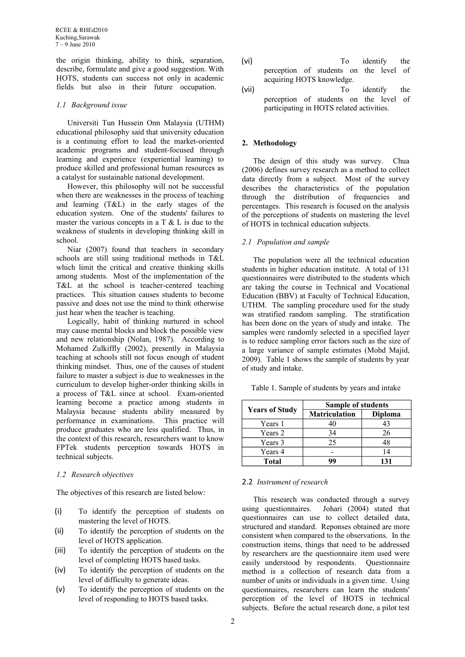the origin thinking, ability to think, separation, describe, formulate and give a good suggestion. With HOTS, students can success not only in academic fields but also in their future occupation.

## *1.1 Background issue*

Universiti Tun Hussein Onn Malaysia (UTHM) educational philosophy said that university education is a continuing effort to lead the market-oriented academic programs and student-focused through learning and experience (experiential learning) to produce skilled and professional human resources as a catalyst for sustainable national development.

However, this philosophy will not be successful when there are weaknesses in the process of teaching and learning (T&L) in the early stages of the education system. One of the students' failures to master the various concepts in a  $T \& L$  is due to the weakness of students in developing thinking skill in school.

Niar (2007) found that teachers in secondary schools are still using traditional methods in T&L which limit the critical and creative thinking skills among students. Most of the implementation of the T&L at the school is teacher-centered teaching practices. This situation causes students to become passive and does not use the mind to think otherwise just hear when the teacher is teaching.

Logically, habit of thinking nurtured in school may cause mental blocks and block the possible view and new relationship (Nolan, 1987). According to Mohamed Zulkiffly (2002), presently in Malaysia teaching at schools still not focus enough of student thinking mindset. Thus, one of the causes of student failure to master a subject is due to weaknesses in the curriculum to develop higher-order thinking skills in a process of T&L since at school. Exam-oriented learning become a practice among students in Malaysia because students ability measured by performance in examinations. This practice will produce graduates who are less qualified. Thus, in the context of this research, researchers want to know FPTek students perception towards HOTS in technical subjects.

# *1.2 Research objectives*

The objectives of this research are listed below:

- (i) To identify the perception of students on mastering the level of HOTS.
- (ii) To identify the perception of students on the level of HOTS application.
- (iii) To identify the perception of students on the level of completing HOTS based tasks.
- (iv) To identify the perception of students on the level of difficulty to generate ideas.
- (v) To identify the perception of students on the level of responding to HOTS based tasks.
- (vi) To identify the perception of students on the level of acquiring HOTS knowledge.
- (vii) To identify the perception of students on the level of participating in HOTS related activities.

# **2. Methodology**

The design of this study was survey. Chua (2006) defines survey research as a method to collect data directly from a subject. Most of the survey describes the characteristics of the population through the distribution of frequencies and percentages. This research is focused on the analysis of the perceptions of students on mastering the level of HOTS in technical education subjects.

### *2.1 Population and sample*

The population were all the technical education students in higher education institute. A total of 131 questionnaires were distributed to the students which are taking the course in Technical and Vocational Education (BBV) at Faculty of Technical Education, UTHM. The sampling procedure used for the study was stratified random sampling. The stratification has been done on the years of study and intake. The samples were randomly selected in a specified layer is to reduce sampling error factors such as the size of a large variance of sample estimates (Mohd Majid, 2009). Table 1 shows the sample of students by year of study and intake.

Table 1. Sample of students by years and intake

|                       | Sample of students   |                |  |
|-----------------------|----------------------|----------------|--|
| <b>Years of Study</b> | <b>Matriculation</b> | <b>Diploma</b> |  |
| Years 1               |                      | 43             |  |
| Years 2               | 34                   | 26             |  |
| Years 3               | 25                   | 48             |  |
| Years 4               |                      | 14             |  |
| Total                 | 99                   | 131            |  |

# 2.2 *Instrument of research*

This research was conducted through a survey using questionnaires. Johari (2004) stated that questionnaires can use to collect detailed data, structured and standard. Reponses obtained are more consistent when compared to the observations. In the construction items, things that need to be addressed by researchers are the questionnaire item used were easily understood by respondents. Questionnaire method is a collection of research data from a number of units or individuals in a given time. Using questionnaires, researchers can learn the students' perception of the level of HOTS in technical subjects. Before the actual research done, a pilot test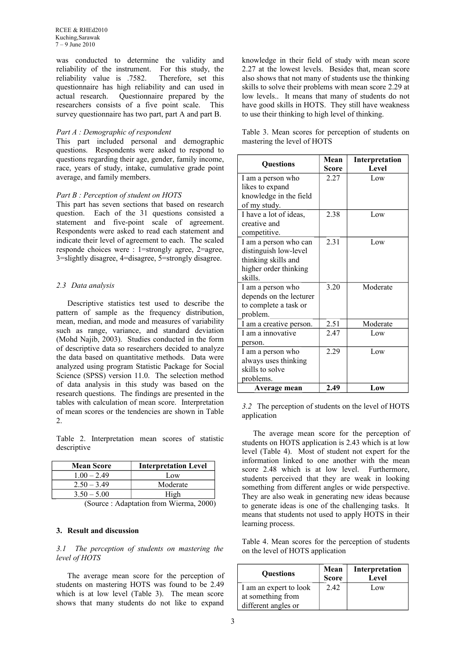was conducted to determine the validity and reliability of the instrument. For this study, the reliability value is .7582. Therefore, set this questionnaire has high reliability and can used in actual research. Questionnaire prepared by the researchers consists of a five point scale. This survey questionnaire has two part, part A and part B.

### *Part A : Demographic of respondent*

This part included personal and demographic questions. Respondents were asked to respond to questions regarding their age, gender, family income, race, years of study, intake, cumulative grade point average, and family members.

### *Part B : Perception of student on HOTS*

This part has seven sections that based on research question. Each of the 31 questions consisted a statement and five-point scale of agreement. Respondents were asked to read each statement and indicate their level of agreement to each. The scaled responde choices were : 1=strongly agree, 2=agree, 3=slightly disagree, 4=disagree, 5=strongly disagree.

# *2.3 Data analysis*

Descriptive statistics test used to describe the pattern of sample as the frequency distribution. mean, median, and mode and measures of variability such as range, variance, and standard deviation (Mohd Najib, 2003). Studies conducted in the form of descriptive data so researchers decided to analyze the data based on quantitative methods. Data were analyzed using program Statistic Package for Social Science (SPSS) version 11.0. The selection method of data analysis in this study was based on the research questions. The findings are presented in the tables with calculation of mean score. Interpretation of mean scores or the tendencies are shown in Table  $2.$ 

Table 2. Interpretation mean scores of statistic descriptive

| <b>Mean Score</b> | <b>Interpretation Level</b>                              |
|-------------------|----------------------------------------------------------|
| $1.00 - 2.49$     | Low                                                      |
| $2.50 - 3.49$     | Moderate                                                 |
| $3.50 - 5.00$     | High                                                     |
| $\sqrt{2}$        | <b>TTT</b><br>$\mathbf{a}\mathbf{a}\mathbf{a}\mathbf{a}$ |

(Source : Adaptation from Wierma, 2000)

## **3. Result and discussion**

#### *3.1 The perception of students on mastering the level of HOTS*

The average mean score for the perception of students on mastering HOTS was found to be 2.49 which is at low level (Table 3). The mean score shows that many students do not like to expand

knowledge in their field of study with mean score 2.27 at the lowest levels. Besides that, mean score also shows that not many of students use the thinking skills to solve their problems with mean score 2.29 at low levels.. It means that many of students do not have good skills in HOTS. They still have weakness to use their thinking to high level of thinking.

Table 3. Mean scores for perception of students on mastering the level of HOTS

| Questions               | Mean<br>Score | Interpretation<br>Level |
|-------------------------|---------------|-------------------------|
| I am a person who       | 2.27          | Low                     |
| likes to expand         |               |                         |
| knowledge in the field  |               |                         |
| of my study.            |               |                         |
| I have a lot of ideas,  | 2.38          | Low                     |
| creative and            |               |                         |
| competitive.            |               |                         |
| I am a person who can   | 2.31          | Low                     |
| distinguish low-level   |               |                         |
| thinking skills and     |               |                         |
| higher order thinking   |               |                         |
| skills.                 |               |                         |
| I am a person who       | 3.20          | Moderate                |
| depends on the lecturer |               |                         |
| to complete a task or   |               |                         |
| problem.                |               |                         |
| I am a creative person. | 2.51          | Moderate                |
| I am a innovative       | 2.47          | Low                     |
| person.                 |               |                         |
| I am a person who       | 2.29          | Low                     |
| always uses thinking    |               |                         |
| skills to solve         |               |                         |
| problems.               |               |                         |
| Average mean            | 2.49          | Low                     |

*<sup>3.2</sup>* The perception of students on the level of HOTS application

The average mean score for the perception of students on HOTS application is 2.43 which is at low level (Table 4). Most of student not expert for the information linked to one another with the mean score 2.48 which is at low level. Furthermore, students perceived that they are weak in looking something from different angles or wide perspective. They are also weak in generating new ideas because to generate ideas is one of the challenging tasks. It means that students not used to apply HOTS in their learning process.

Table 4. Mean scores for the perception of students on the level of HOTS application

| <b>Ouestions</b>       | Mean<br><b>Score</b> | Interpretation<br>Level |
|------------------------|----------------------|-------------------------|
| I am an expert to look | 2.42                 | Low                     |
| at something from      |                      |                         |
| different angles or    |                      |                         |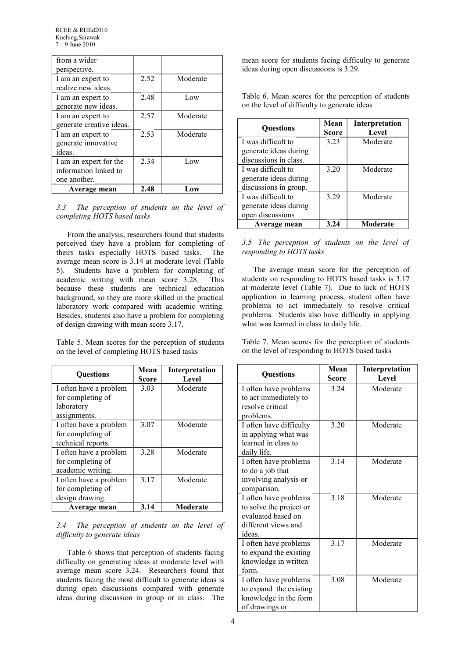| from a wider<br>perspective.                                    |      |          |
|-----------------------------------------------------------------|------|----------|
| I am an expert to<br>realize new ideas.                         | 2.52 | Moderate |
| I am an expert to<br>generate new ideas.                        | 2.48 | Low      |
| I am an expert to<br>generate creative ideas.                   | 2.57 | Moderate |
| I am an expert to<br>generate innovative<br>ideas.              | 2.53 | Moderate |
| I am an expert for the<br>information linked to<br>one another. | 2.34 | Low      |
| Average mean                                                    | 2.48 | l .ow    |

#### *3.3 The perception of students on the level of completing HOTS based tasks*

From the analysis, researchers found that students perceived they have a problem for completing of theirs tasks especially HOTS based tasks. The average mean score is 3.14 at moderate level (Table 5). Students have a problem for completing of academic writing with mean score 3.28. This because these students are technical education background, so they are more skilled in the practical laboratory work compared with academic writing. Besides, students also have a problem for completing of design drawing with mean score 3.17.

Table 5. Mean scores for the perception of students on the level of completing HOTS based tasks

| <b>Ouestions</b>       | Mean<br>Score | Interpretation<br>Level |
|------------------------|---------------|-------------------------|
| I often have a problem | 3.03          | Moderate                |
| for completing of      |               |                         |
| laboratory             |               |                         |
| assignments.           |               |                         |
| I often have a problem | 3.07          | Moderate                |
| for completing of      |               |                         |
| technical reports.     |               |                         |
| I often have a problem | 3.28          | Moderate                |
| for completing of      |               |                         |
| academic writing.      |               |                         |
| I often have a problem | 3.17          | Moderate                |
| for completing of      |               |                         |
| design drawing.        |               |                         |
| Average mean           | 3.14          | Moderate                |

### *3.4 The perception of students on the level of difficulty to generate ideas*

Table 6 shows that perception of students facing difficulty on generating ideas at moderate level with average mean score 3.24. Researchers found that students facing the most difficult to generate ideas is during open discussions compared with generate ideas during discussion in group or in class. The

mean score for students facing difficulty to generate ideas during open discussions is 3.29.

Table 6. Mean scores for the perception of students on the level of difficulty to generate ideas

| <b>Ouestions</b>      | Mean<br><b>Score</b> | Interpretation<br>Level |
|-----------------------|----------------------|-------------------------|
| I was difficult to    | 3.23                 | Moderate                |
| generate ideas during |                      |                         |
| discussions in class. |                      |                         |
| I was difficult to    | 3.20                 | Moderate                |
| generate ideas during |                      |                         |
| discussions in group. |                      |                         |
| I was difficult to    | 3.29                 | Moderate                |
| generate ideas during |                      |                         |
| open discussions      |                      |                         |
| Average mean          | 3.24                 | Moderate                |

# *3.5 The perception of students on the level of responding to HOTS tasks*

The average mean score for the perception of students on responding to HOTS based tasks is 3.17 at moderate level (Table 7). Due to lack of HOTS application in learning process, student often have problems to act immediately to resolve critical problems. Students also have difficulty in applying what was learned in class to daily life.

Table 7. Mean scores for the perception of students on the level of responding to HOTS based tasks

| Questions                                                                                               | Mean<br>Score | Interpretation<br><b>Level</b> |
|---------------------------------------------------------------------------------------------------------|---------------|--------------------------------|
| I often have problems<br>to act immediately to<br>resolve critical                                      | 3.24          | Moderate                       |
| problems.<br>I often have difficulty                                                                    | 3.20          | Moderate                       |
| in applying what was<br>learned in class to<br>daily life.                                              |               |                                |
| I often have problems<br>to do a job that<br>involving analysis or<br>comparison.                       | 3.14          | Moderate                       |
| I often have problems<br>to solve the project or<br>evaluated based on<br>different views and<br>ideas. | 3.18          | Moderate                       |
| I often have problems<br>to expand the existing<br>knowledge in written<br>form.                        | 3.17          | Moderate                       |
| I often have problems<br>to expand the existing<br>knowledge in the form<br>of drawings or              | 3.08          | Moderate                       |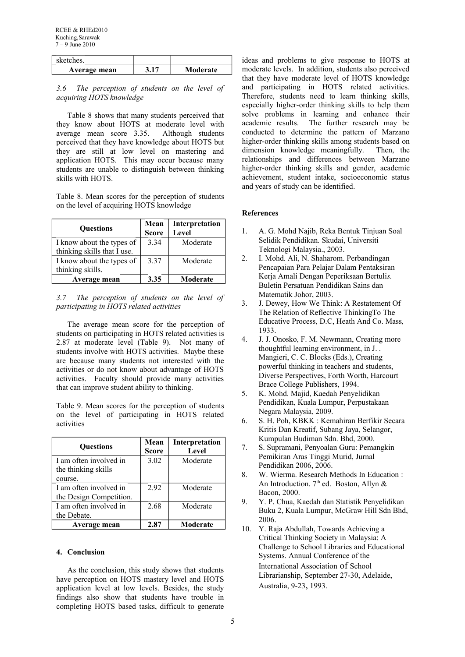| sketches.    |          |
|--------------|----------|
| Average mean | Moderate |

*3.6 The perception of students on the level of acquiring HOTS knowledge*

Table 8 shows that many students perceived that they know about HOTS at moderate level with average mean score 3.35. Although students perceived that they have knowledge about HOTS but they are still at low level on mastering and application HOTS. This may occur because many students are unable to distinguish between thinking skills with HOTS.

Table 8. Mean scores for the perception of students on the level of acquiring HOTS knowledge

| <b>Ouestions</b>            | Mean<br><b>Score</b> | Interpretation<br>Level |
|-----------------------------|----------------------|-------------------------|
| I know about the types of   | 3.34                 | Moderate                |
| thinking skills that I use. |                      |                         |
| I know about the types of   | 3.37                 | Moderate                |
| thinking skills.            |                      |                         |
| Average mean                | 3.35                 | Moderate                |

*3.7 The perception of students on the level of participating in HOTS related activities*

The average mean score for the perception of students on participating in HOTS related activities is 2.87 at moderate level (Table 9). Not many of students involve with HOTS activities. Maybe these are because many students not interested with the activities or do not know about advantage of HOTS activities. Faculty should provide many activities that can improve student ability to thinking.

Table 9. Mean scores for the perception of students on the level of participating in HOTS related activities

| <b>Ouestions</b>                              | Mean<br><b>Score</b> | Interpretation<br>Level |
|-----------------------------------------------|----------------------|-------------------------|
| I am often involved in<br>the thinking skills | 3.02                 | Moderate                |
| course.                                       |                      |                         |
| I am often involved in                        | 2.92                 | Moderate                |
| the Design Competition.                       |                      |                         |
| I am often involved in                        | 2.68                 | Moderate                |
| the Debate.                                   |                      |                         |
| Average mean                                  | 2.87                 | Moderate                |

#### **4. Conclusion**

As the conclusion, this study shows that students have perception on HOTS mastery level and HOTS application level at low levels. Besides, the study findings also show that students have trouble in completing HOTS based tasks, difficult to generate

ideas and problems to give response to HOTS at moderate levels. In addition, students also perceived that they have moderate level of HOTS knowledge and participating in HOTS related activities. Therefore, students need to learn thinking skills, especially higher-order thinking skills to help them solve problems in learning and enhance their academic results. The further research may be conducted to determine the pattern of Marzano higher-order thinking skills among students based on dimension knowledge meaningfully. Then, the relationships and differences between Marzano higher-order thinking skills and gender, academic achievement, student intake, socioeconomic status and years of study can be identified.

#### **References**

- 1. A. G. Mohd Najib, Reka Bentuk Tinjuan Soal Selidik Pendidikan*.* Skudai, Universiti Teknologi Malaysia., 2003.
- 2. I. Mohd. Ali, N. Shaharom. Perbandingan Pencapaian Para Pelajar Dalam Pentaksiran Kerja Amali Dengan Peperiksaan Bertuli*s.*  Buletin Persatuan Pendidikan Sains dan Matematik Johor, 2003.
- 3. J. Dewey, How We Think: A Restatement Of The Relation of Reflective ThinkingTo The Educative Process, D.C, Heath And Co. Mass*,*  1933.
- 4. J. J. Onosko, F. M. Newmann, Creating more thoughtful learning environment, in J. . Mangieri, C. C. Blocks (Eds.), Creating powerful thinking in teachers and students, Diverse Perspectives, Forth Worth, Harcourt Brace College Publishers, 1994.
- 5. K. Mohd. Majid, Kaedah Penyelidikan Pendidikan, Kuala Lumpur, Perpustakaan Negara Malaysia, 2009.
- 6. S. H. Poh, KBKK : Kemahiran Berfikir Secara Kritis Dan Kreatif, Subang Jaya, Selangor, Kumpulan Budiman Sdn. Bhd, 2000.
- 7. S. Supramani, Penyoalan Guru: Pemangkin Pemikiran Aras Tinggi Murid, Jurnal Pendidikan 2006, 2006.
- 8. W. Wierma. Research Methods In Education : An Introduction.  $7<sup>th</sup>$  ed. Boston, Allyn & Bacon, 2000.
- 9. Y. P. Chua, Kaedah dan Statistik Penyelidikan Buku 2, Kuala Lumpur, McGraw Hill Sdn Bhd, 2006.
- 10. Y. Raja Abdullah, Towards Achieving a Critical Thinking Society in Malaysia: A Challenge to School Libraries and Educational Systems. Annual Conference of the International Association of School Librarianship, September 27-30, Adelaide, Australia, 9-23, 1993.